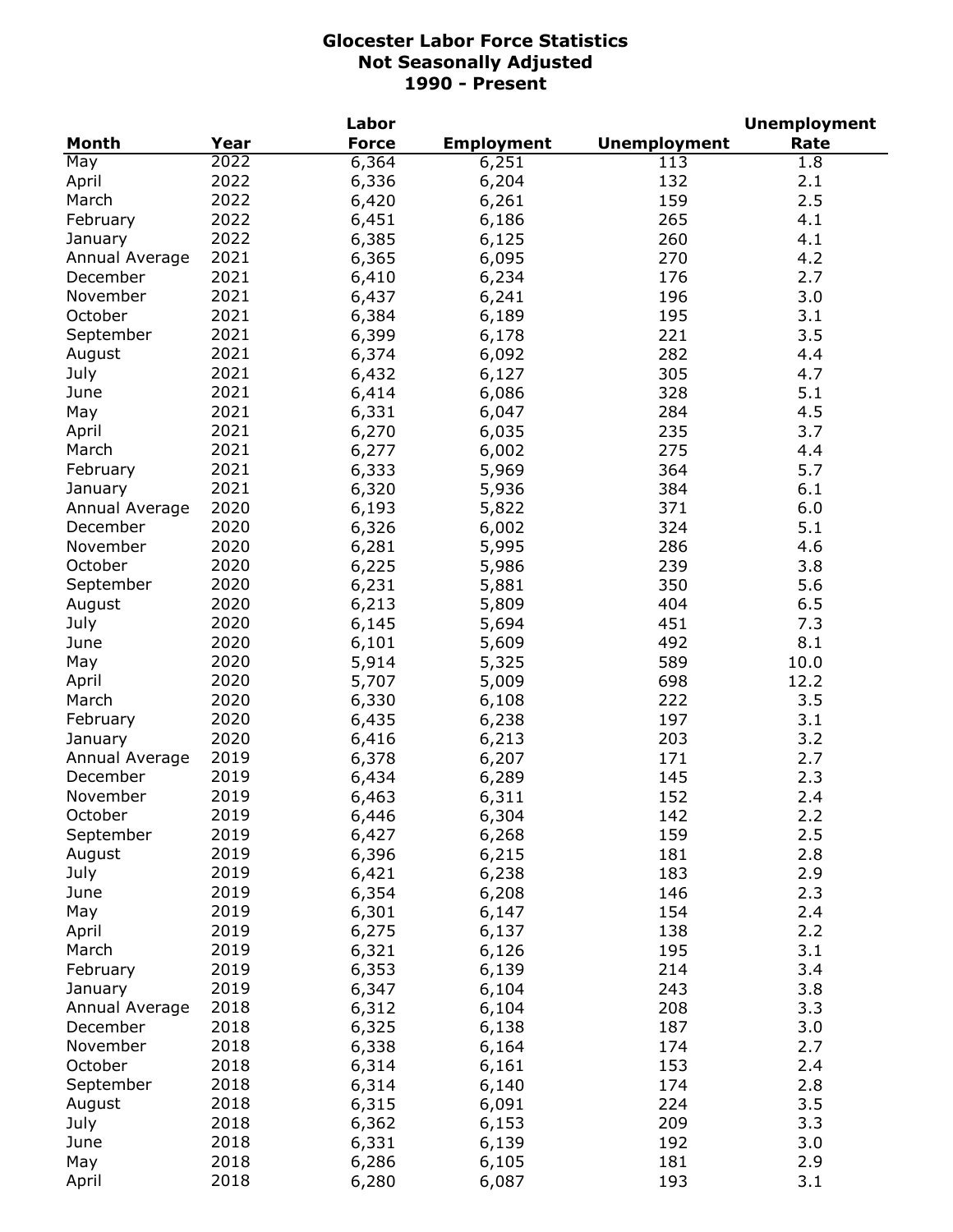|                |      | Labor        |                   |                     | <b>Unemployment</b> |
|----------------|------|--------------|-------------------|---------------------|---------------------|
| <b>Month</b>   | Year | <b>Force</b> | <b>Employment</b> | <b>Unemployment</b> | Rate                |
| May            | 2022 | 6,364        | 6,251             | 113                 | 1.8                 |
| April          | 2022 | 6,336        | 6,204             | 132                 | 2.1                 |
| March          | 2022 | 6,420        | 6,261             | 159                 | 2.5                 |
| February       | 2022 | 6,451        | 6,186             | 265                 | 4.1                 |
| January        | 2022 | 6,385        | 6,125             | 260                 | 4.1                 |
| Annual Average | 2021 | 6,365        | 6,095             | 270                 | 4.2                 |
| December       | 2021 | 6,410        | 6,234             | 176                 | 2.7                 |
| November       | 2021 | 6,437        | 6,241             | 196                 | 3.0                 |
| October        | 2021 | 6,384        | 6,189             | 195                 | 3.1                 |
| September      | 2021 | 6,399        | 6,178             | 221                 | 3.5                 |
| August         | 2021 | 6,374        | 6,092             | 282                 | 4.4                 |
| July           | 2021 | 6,432        | 6,127             | 305                 | 4.7                 |
| June           | 2021 | 6,414        | 6,086             | 328                 | 5.1                 |
|                | 2021 | 6,331        |                   | 284                 | 4.5                 |
| May            | 2021 |              | 6,047             |                     | 3.7                 |
| April          |      | 6,270        | 6,035             | 235                 |                     |
| March          | 2021 | 6,277        | 6,002             | 275                 | 4.4                 |
| February       | 2021 | 6,333        | 5,969             | 364                 | 5.7                 |
| January        | 2021 | 6,320        | 5,936             | 384                 | 6.1                 |
| Annual Average | 2020 | 6,193        | 5,822             | 371                 | 6.0                 |
| December       | 2020 | 6,326        | 6,002             | 324                 | 5.1                 |
| November       | 2020 | 6,281        | 5,995             | 286                 | 4.6                 |
| October        | 2020 | 6,225        | 5,986             | 239                 | 3.8                 |
| September      | 2020 | 6,231        | 5,881             | 350                 | 5.6                 |
| August         | 2020 | 6,213        | 5,809             | 404                 | 6.5                 |
| July           | 2020 | 6,145        | 5,694             | 451                 | 7.3                 |
| June           | 2020 | 6,101        | 5,609             | 492                 | 8.1                 |
| May            | 2020 | 5,914        | 5,325             | 589                 | 10.0                |
| April          | 2020 | 5,707        | 5,009             | 698                 | 12.2                |
| March          | 2020 | 6,330        | 6,108             | 222                 | 3.5                 |
| February       | 2020 | 6,435        | 6,238             | 197                 | 3.1                 |
| January        | 2020 | 6,416        | 6,213             | 203                 | 3.2                 |
| Annual Average | 2019 | 6,378        | 6,207             | 171                 | 2.7                 |
| December       | 2019 | 6,434        | 6,289             | 145                 | 2.3                 |
| November       | 2019 | 6,463        | 6,311             | 152                 | 2.4                 |
| October        | 2019 | 6,446        | 6,304             | 142                 | 2.2                 |
| September      | 2019 | 6,427        | 6,268             | 159                 | 2.5                 |
| August         | 2019 | 6,396        | 6,215             | 181                 | 2.8                 |
| July           | 2019 | 6,421        | 6,238             | 183                 | 2.9                 |
| June           | 2019 | 6,354        | 6,208             | 146                 | 2.3                 |
| May            | 2019 | 6,301        | 6,147             | 154                 | 2.4                 |
| April          | 2019 | 6,275        | 6,137             | 138                 | 2.2                 |
| March          | 2019 | 6,321        | 6,126             | 195                 | 3.1                 |
| February       | 2019 | 6,353        | 6,139             | 214                 | 3.4                 |
| January        | 2019 | 6,347        | 6,104             | 243                 | 3.8                 |
| Annual Average | 2018 |              |                   | 208                 | 3.3                 |
| December       | 2018 | 6,312        | 6,104             |                     |                     |
|                |      | 6,325        | 6,138             | 187                 | 3.0                 |
| November       | 2018 | 6,338        | 6,164             | 174                 | 2.7                 |
| October        | 2018 | 6,314        | 6,161             | 153                 | 2.4                 |
| September      | 2018 | 6,314        | 6,140             | 174                 | 2.8                 |
| August         | 2018 | 6,315        | 6,091             | 224                 | 3.5                 |
| July           | 2018 | 6,362        | 6,153             | 209                 | 3.3                 |
| June           | 2018 | 6,331        | 6,139             | 192                 | 3.0                 |
| May            | 2018 | 6,286        | 6,105             | 181                 | 2.9                 |
| April          | 2018 | 6,280        | 6,087             | 193                 | 3.1                 |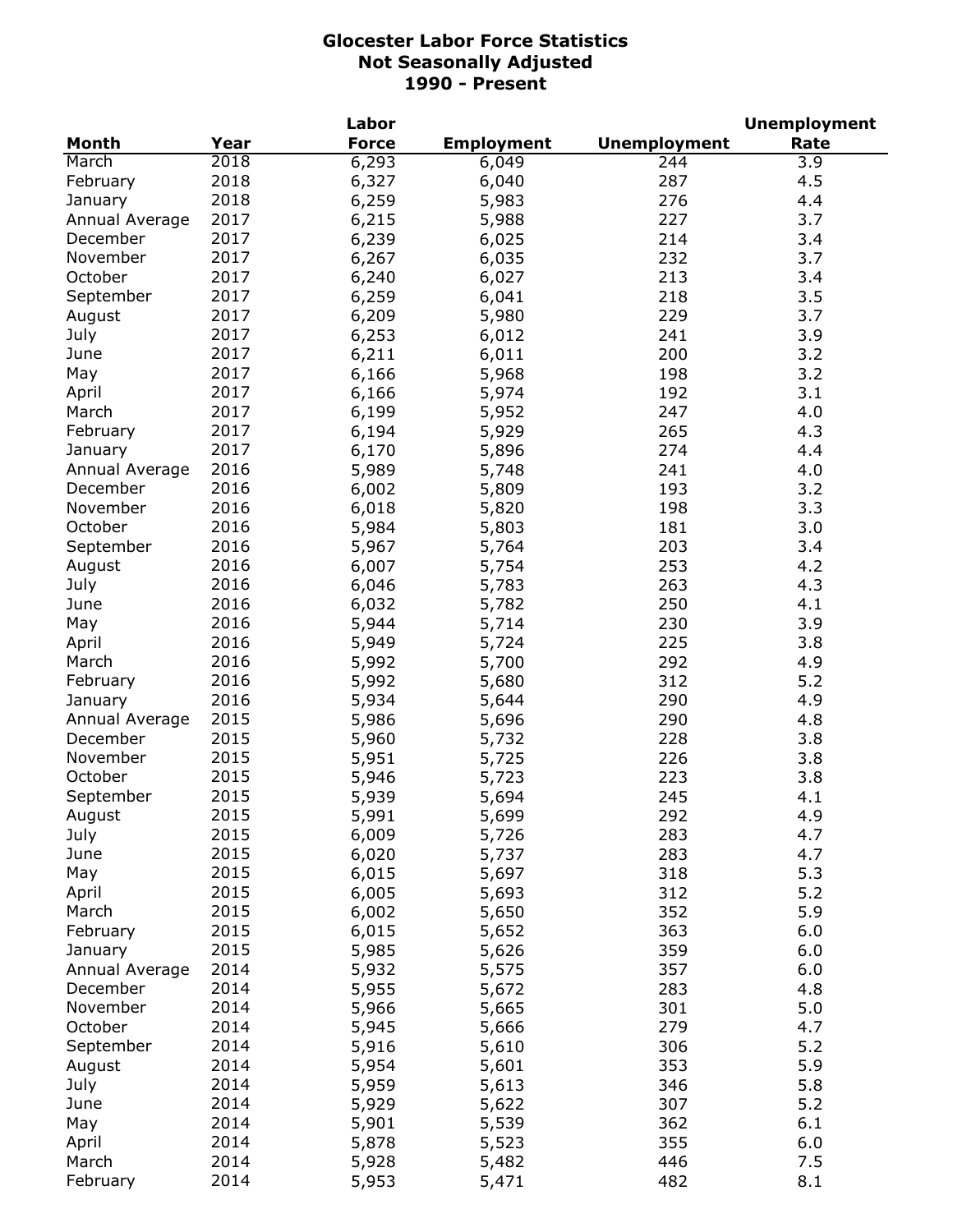|                |      | Labor        |                   |                     | <b>Unemployment</b> |
|----------------|------|--------------|-------------------|---------------------|---------------------|
| <b>Month</b>   | Year | <b>Force</b> | <b>Employment</b> | <b>Unemployment</b> | Rate                |
| March          | 2018 | 6,293        | 6,049             | 244                 | 3.9                 |
| February       | 2018 | 6,327        | 6,040             | 287                 | 4.5                 |
| January        | 2018 | 6,259        | 5,983             | 276                 | 4.4                 |
| Annual Average | 2017 | 6,215        | 5,988             | 227                 | 3.7                 |
| December       | 2017 | 6,239        | 6,025             | 214                 | 3.4                 |
| November       | 2017 | 6,267        | 6,035             | 232                 | 3.7                 |
| October        | 2017 | 6,240        | 6,027             | 213                 | 3.4                 |
| September      | 2017 | 6,259        | 6,041             | 218                 | 3.5                 |
| August         | 2017 | 6,209        | 5,980             | 229                 | 3.7                 |
| July           | 2017 | 6,253        | 6,012             | 241                 | 3.9                 |
| June           | 2017 | 6,211        | 6,011             | 200                 | 3.2                 |
| May            | 2017 | 6,166        | 5,968             | 198                 | 3.2                 |
|                | 2017 |              |                   | 192                 | 3.1                 |
| April          |      | 6,166        | 5,974             | 247                 |                     |
| March          | 2017 | 6,199        | 5,952             |                     | 4.0                 |
| February       | 2017 | 6,194        | 5,929             | 265                 | 4.3                 |
| January        | 2017 | 6,170        | 5,896             | 274                 | 4.4                 |
| Annual Average | 2016 | 5,989        | 5,748             | 241                 | 4.0                 |
| December       | 2016 | 6,002        | 5,809             | 193                 | 3.2                 |
| November       | 2016 | 6,018        | 5,820             | 198                 | 3.3                 |
| October        | 2016 | 5,984        | 5,803             | 181                 | 3.0                 |
| September      | 2016 | 5,967        | 5,764             | 203                 | 3.4                 |
| August         | 2016 | 6,007        | 5,754             | 253                 | 4.2                 |
| July           | 2016 | 6,046        | 5,783             | 263                 | 4.3                 |
| June           | 2016 | 6,032        | 5,782             | 250                 | 4.1                 |
| May            | 2016 | 5,944        | 5,714             | 230                 | 3.9                 |
| April          | 2016 | 5,949        | 5,724             | 225                 | 3.8                 |
| March          | 2016 | 5,992        | 5,700             | 292                 | 4.9                 |
| February       | 2016 | 5,992        | 5,680             | 312                 | 5.2                 |
| January        | 2016 | 5,934        | 5,644             | 290                 | 4.9                 |
| Annual Average | 2015 | 5,986        | 5,696             | 290                 | 4.8                 |
| December       | 2015 | 5,960        | 5,732             | 228                 | 3.8                 |
| November       | 2015 | 5,951        | 5,725             | 226                 | 3.8                 |
| October        | 2015 | 5,946        | 5,723             | 223                 | 3.8                 |
| September      | 2015 | 5,939        | 5,694             | 245                 | 4.1                 |
| August         | 2015 | 5,991        | 5,699             | 292                 | 4.9                 |
| July           | 2015 | 6,009        | 5,726             | 283                 | 4.7                 |
| June           | 2015 | 6,020        | 5,737             | 283                 | 4.7                 |
| May            | 2015 | 6,015        | 5,697             | 318                 | 5.3                 |
| April          | 2015 | 6,005        | 5,693             | 312                 | 5.2                 |
| March          | 2015 | 6,002        | 5,650             | 352                 | 5.9                 |
| February       | 2015 | 6,015        | 5,652             | 363                 | 6.0                 |
| January        | 2015 | 5,985        | 5,626             | 359                 | 6.0                 |
| Annual Average | 2014 | 5,932        | 5,575             | 357                 | 6.0                 |
| December       | 2014 | 5,955        | 5,672             | 283                 | 4.8                 |
| November       | 2014 | 5,966        |                   | 301                 | 5.0                 |
| October        | 2014 |              | 5,665             |                     | 4.7                 |
|                |      | 5,945        | 5,666             | 279                 |                     |
| September      | 2014 | 5,916        | 5,610             | 306                 | 5.2                 |
| August         | 2014 | 5,954        | 5,601             | 353                 | 5.9                 |
| July           | 2014 | 5,959        | 5,613             | 346                 | 5.8                 |
| June           | 2014 | 5,929        | 5,622             | 307                 | 5.2                 |
| May            | 2014 | 5,901        | 5,539             | 362                 | 6.1                 |
| April          | 2014 | 5,878        | 5,523             | 355                 | 6.0                 |
| March          | 2014 | 5,928        | 5,482             | 446                 | 7.5                 |
| February       | 2014 | 5,953        | 5,471             | 482                 | 8.1                 |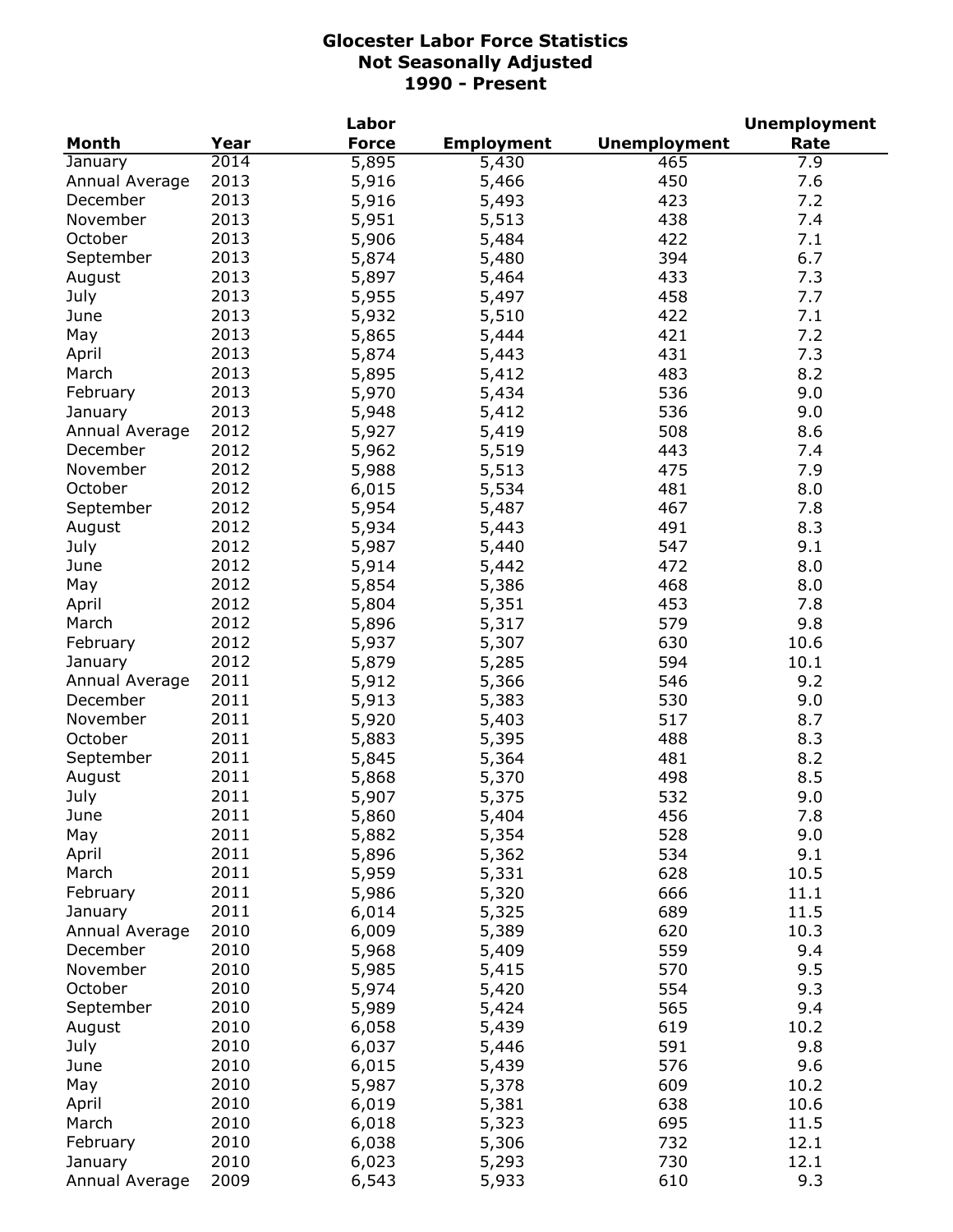|                |      | Labor        |                   |                     | <b>Unemployment</b> |
|----------------|------|--------------|-------------------|---------------------|---------------------|
| <b>Month</b>   | Year | <b>Force</b> | <b>Employment</b> | <b>Unemployment</b> | Rate                |
| January        | 2014 | 5,895        | 5,430             | 465                 | 7.9                 |
| Annual Average | 2013 | 5,916        | 5,466             | 450                 | 7.6                 |
| December       | 2013 | 5,916        | 5,493             | 423                 | 7.2                 |
| November       | 2013 | 5,951        | 5,513             | 438                 | 7.4                 |
| October        | 2013 | 5,906        | 5,484             | 422                 | 7.1                 |
| September      | 2013 | 5,874        | 5,480             | 394                 | 6.7                 |
| August         | 2013 | 5,897        | 5,464             | 433                 | 7.3                 |
| July           | 2013 | 5,955        | 5,497             | 458                 | 7.7                 |
| June           | 2013 | 5,932        | 5,510             | 422                 | 7.1                 |
| May            | 2013 | 5,865        | 5,444             | 421                 | 7.2                 |
| April          | 2013 | 5,874        | 5,443             | 431                 | 7.3                 |
| March          | 2013 | 5,895        | 5,412             | 483                 | 8.2                 |
| February       | 2013 |              |                   | 536                 | 9.0                 |
|                | 2013 | 5,970        | 5,434             | 536                 | 9.0                 |
| January        |      | 5,948        | 5,412             |                     |                     |
| Annual Average | 2012 | 5,927        | 5,419             | 508                 | 8.6                 |
| December       | 2012 | 5,962        | 5,519             | 443                 | 7.4                 |
| November       | 2012 | 5,988        | 5,513             | 475                 | 7.9                 |
| October        | 2012 | 6,015        | 5,534             | 481                 | 8.0                 |
| September      | 2012 | 5,954        | 5,487             | 467                 | 7.8                 |
| August         | 2012 | 5,934        | 5,443             | 491                 | 8.3                 |
| July           | 2012 | 5,987        | 5,440             | 547                 | 9.1                 |
| June           | 2012 | 5,914        | 5,442             | 472                 | 8.0                 |
| May            | 2012 | 5,854        | 5,386             | 468                 | 8.0                 |
| April          | 2012 | 5,804        | 5,351             | 453                 | 7.8                 |
| March          | 2012 | 5,896        | 5,317             | 579                 | 9.8                 |
| February       | 2012 | 5,937        | 5,307             | 630                 | 10.6                |
| January        | 2012 | 5,879        | 5,285             | 594                 | 10.1                |
| Annual Average | 2011 | 5,912        | 5,366             | 546                 | 9.2                 |
| December       | 2011 | 5,913        | 5,383             | 530                 | 9.0                 |
| November       | 2011 | 5,920        | 5,403             | 517                 | 8.7                 |
| October        | 2011 | 5,883        | 5,395             | 488                 | 8.3                 |
| September      | 2011 | 5,845        | 5,364             | 481                 | 8.2                 |
| August         | 2011 | 5,868        | 5,370             | 498                 | 8.5                 |
| July           | 2011 | 5,907        | 5,375             | 532                 | 9.0                 |
| June           | 2011 | 5,860        | 5,404             | 456                 | 7.8                 |
| May            | 2011 | 5,882        | 5,354             | 528                 | 9.0                 |
| April          | 2011 | 5,896        | 5,362             | 534                 | 9.1                 |
| March          | 2011 | 5,959        | 5,331             | 628                 | 10.5                |
| February       | 2011 | 5,986        | 5,320             | 666                 | 11.1                |
| January        | 2011 | 6,014        | 5,325             | 689                 | 11.5                |
| Annual Average | 2010 | 6,009        | 5,389             | 620                 | 10.3                |
| December       | 2010 | 5,968        | 5,409             | 559                 | 9.4                 |
| November       | 2010 | 5,985        | 5,415             | 570                 | 9.5                 |
| October        | 2010 |              |                   |                     | 9.3                 |
|                |      | 5,974        | 5,420             | 554                 |                     |
| September      | 2010 | 5,989        | 5,424             | 565                 | 9.4                 |
| August         | 2010 | 6,058        | 5,439             | 619                 | 10.2                |
| July           | 2010 | 6,037        | 5,446             | 591                 | 9.8                 |
| June           | 2010 | 6,015        | 5,439             | 576                 | 9.6                 |
| May            | 2010 | 5,987        | 5,378             | 609                 | 10.2                |
| April          | 2010 | 6,019        | 5,381             | 638                 | 10.6                |
| March          | 2010 | 6,018        | 5,323             | 695                 | 11.5                |
| February       | 2010 | 6,038        | 5,306             | 732                 | 12.1                |
| January        | 2010 | 6,023        | 5,293             | 730                 | 12.1                |
| Annual Average | 2009 | 6,543        | 5,933             | 610                 | 9.3                 |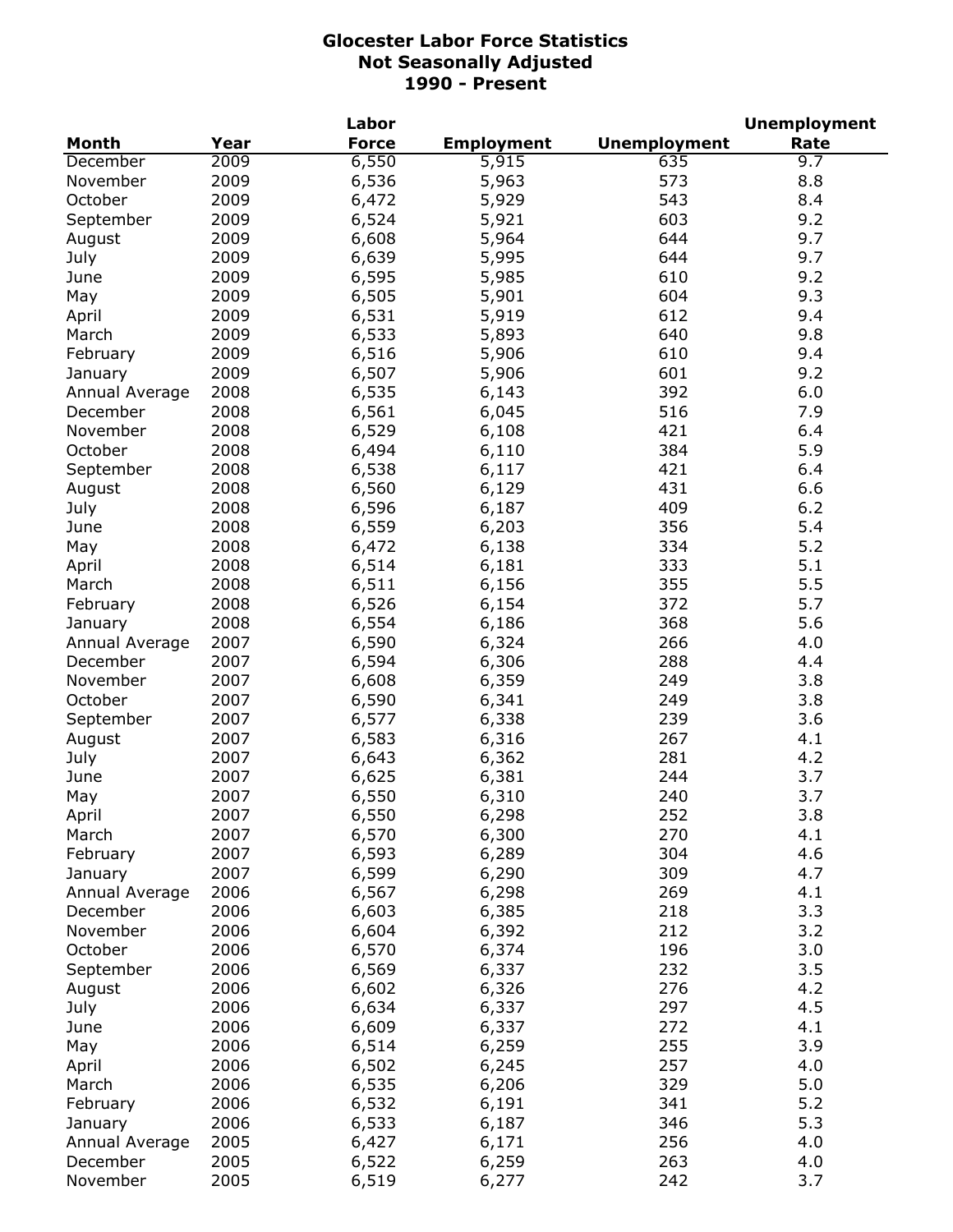|                |      | Labor        |                   |                     | <b>Unemployment</b> |
|----------------|------|--------------|-------------------|---------------------|---------------------|
| <b>Month</b>   | Year | <b>Force</b> | <b>Employment</b> | <b>Unemployment</b> | Rate                |
| December       | 2009 | 6,550        | 5,915             | 635                 | 9.7                 |
| November       | 2009 | 6,536        | 5,963             | 573                 | 8.8                 |
| October        | 2009 | 6,472        | 5,929             | 543                 | 8.4                 |
| September      | 2009 | 6,524        | 5,921             | 603                 | 9.2                 |
| August         | 2009 | 6,608        | 5,964             | 644                 | 9.7                 |
| July           | 2009 | 6,639        | 5,995             | 644                 | 9.7                 |
| June           | 2009 | 6,595        | 5,985             | 610                 | 9.2                 |
| May            | 2009 | 6,505        | 5,901             | 604                 | 9.3                 |
| April          | 2009 | 6,531        | 5,919             | 612                 | 9.4                 |
| March          | 2009 | 6,533        | 5,893             | 640                 | 9.8                 |
| February       | 2009 | 6,516        | 5,906             | 610                 | 9.4                 |
| January        | 2009 | 6,507        | 5,906             | 601                 | 9.2                 |
| Annual Average | 2008 | 6,535        | 6,143             | 392                 | 6.0                 |
| December       | 2008 | 6,561        | 6,045             | 516                 | 7.9                 |
| November       | 2008 | 6,529        | 6,108             | 421                 | 6.4                 |
| October        | 2008 | 6,494        | 6,110             | 384                 | 5.9                 |
| September      | 2008 | 6,538        | 6,117             | 421                 | 6.4                 |
|                | 2008 |              |                   | 431                 | 6.6                 |
| August         |      | 6,560        | 6,129             |                     |                     |
| July           | 2008 | 6,596        | 6,187             | 409                 | 6.2                 |
| June           | 2008 | 6,559        | 6,203             | 356                 | 5.4                 |
| May            | 2008 | 6,472        | 6,138             | 334                 | 5.2                 |
| April          | 2008 | 6,514        | 6,181             | 333                 | 5.1                 |
| March          | 2008 | 6,511        | 6,156             | 355                 | 5.5                 |
| February       | 2008 | 6,526        | 6,154             | 372                 | 5.7                 |
| January        | 2008 | 6,554        | 6,186             | 368                 | 5.6                 |
| Annual Average | 2007 | 6,590        | 6,324             | 266                 | 4.0                 |
| December       | 2007 | 6,594        | 6,306             | 288                 | 4.4                 |
| November       | 2007 | 6,608        | 6,359             | 249                 | 3.8                 |
| October        | 2007 | 6,590        | 6,341             | 249                 | 3.8                 |
| September      | 2007 | 6,577        | 6,338             | 239                 | 3.6                 |
| August         | 2007 | 6,583        | 6,316             | 267                 | 4.1                 |
| July           | 2007 | 6,643        | 6,362             | 281                 | 4.2                 |
| June           | 2007 | 6,625        | 6,381             | 244                 | 3.7                 |
| May            | 2007 | 6,550        | 6,310             | 240                 | 3.7                 |
| April          | 2007 | 6,550        | 6,298             | 252                 | 3.8                 |
| March          | 2007 | 6,570        | 6,300             | 270                 | 4.1                 |
| February       | 2007 | 6,593        | 6,289             | 304                 | 4.6                 |
| January        | 2007 | 6,599        | 6,290             | 309                 | 4.7                 |
| Annual Average | 2006 | 6,567        | 6,298             | 269                 | 4.1                 |
| December       | 2006 | 6,603        | 6,385             | 218                 | 3.3                 |
| November       | 2006 | 6,604        | 6,392             | 212                 | 3.2                 |
| October        | 2006 | 6,570        | 6,374             | 196                 | 3.0                 |
| September      | 2006 | 6,569        | 6,337             | 232                 | 3.5                 |
| August         | 2006 | 6,602        | 6,326             | 276                 | 4.2                 |
| July           | 2006 | 6,634        | 6,337             | 297                 | 4.5                 |
| June           | 2006 | 6,609        | 6,337             | 272                 | 4.1                 |
| May            | 2006 | 6,514        | 6,259             | 255                 | 3.9                 |
| April          | 2006 | 6,502        | 6,245             | 257                 | 4.0                 |
| March          | 2006 | 6,535        | 6,206             | 329                 | 5.0                 |
| February       | 2006 | 6,532        | 6,191             | 341                 | 5.2                 |
| January        | 2006 | 6,533        | 6,187             | 346                 | 5.3                 |
| Annual Average | 2005 | 6,427        | 6,171             | 256                 | 4.0                 |
| December       | 2005 | 6,522        | 6,259             | 263                 | 4.0                 |
| November       | 2005 | 6,519        | 6,277             | 242                 | 3.7                 |
|                |      |              |                   |                     |                     |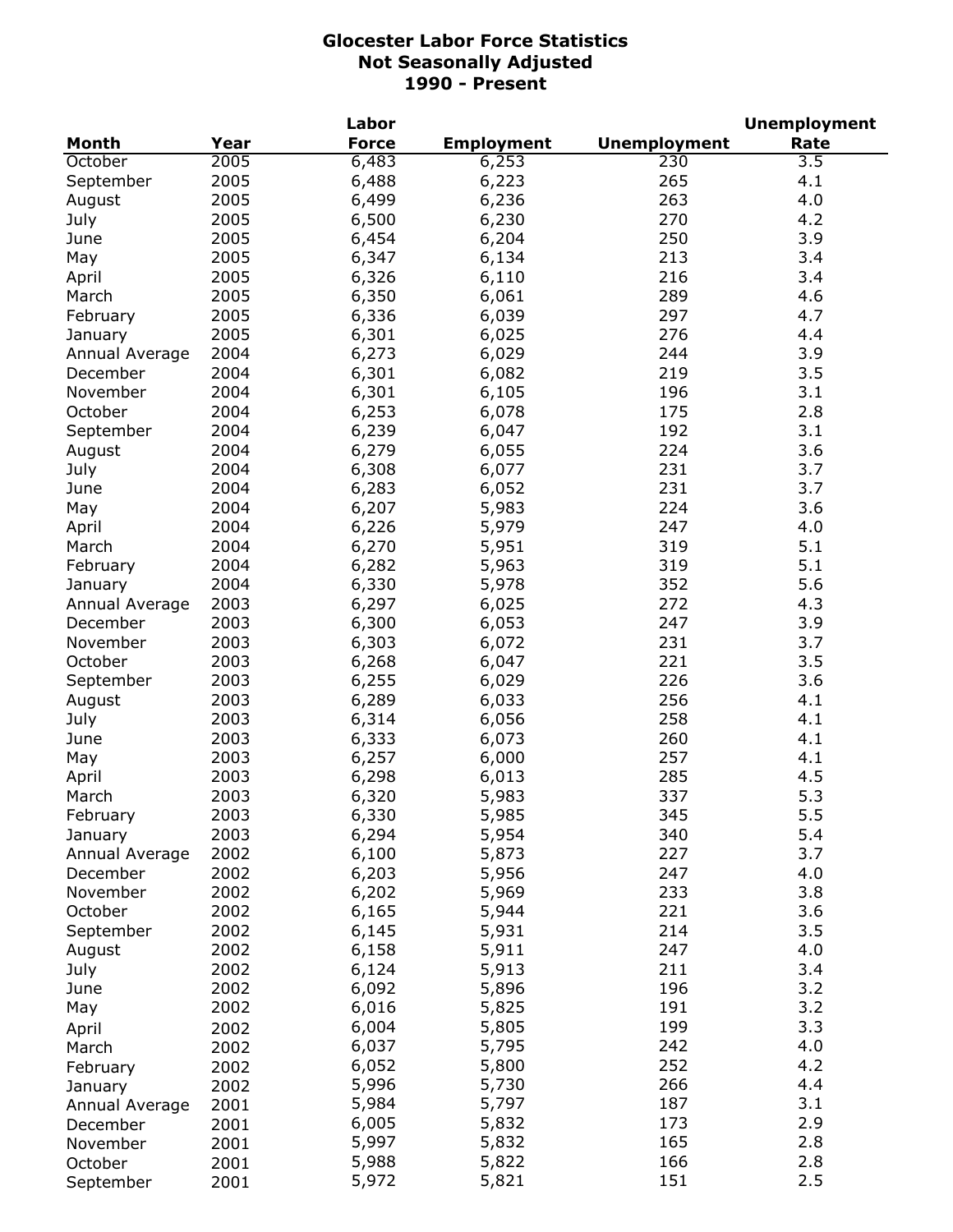|                     |      | Labor        |                   | <b>Unemployment</b> |      |  |
|---------------------|------|--------------|-------------------|---------------------|------|--|
| <b>Month</b>        | Year | <b>Force</b> | <b>Employment</b> | <b>Unemployment</b> | Rate |  |
| October             | 2005 | 6,483        | 6,253             | 230                 | 3.5  |  |
| September           | 2005 | 6,488        | 6,223             | 265                 | 4.1  |  |
| August              | 2005 | 6,499        | 6,236             | 263                 | 4.0  |  |
| July                | 2005 | 6,500        | 6,230             | 270                 | 4.2  |  |
| June                | 2005 | 6,454        | 6,204             | 250                 | 3.9  |  |
| May                 | 2005 | 6,347        | 6,134             | 213                 | 3.4  |  |
| April               | 2005 | 6,326        | 6,110             | 216                 | 3.4  |  |
| March               | 2005 | 6,350        | 6,061             | 289                 | 4.6  |  |
| February            | 2005 | 6,336        | 6,039             | 297                 | 4.7  |  |
| January             | 2005 | 6,301        | 6,025             | 276                 | 4.4  |  |
| Annual Average      | 2004 | 6,273        | 6,029             | 244                 | 3.9  |  |
| December            | 2004 | 6,301        | 6,082             | 219                 | 3.5  |  |
| November            | 2004 | 6,301        | 6,105             | 196                 | 3.1  |  |
| October             | 2004 | 6,253        | 6,078             | 175                 | 2.8  |  |
| September           | 2004 | 6,239        | 6,047             | 192                 | 3.1  |  |
| August              | 2004 | 6,279        | 6,055             | 224                 | 3.6  |  |
| July                | 2004 | 6,308        | 6,077             | 231                 | 3.7  |  |
| June                | 2004 | 6,283        | 6,052             | 231                 | 3.7  |  |
| May                 | 2004 | 6,207        | 5,983             | 224                 | 3.6  |  |
| April               | 2004 | 6,226        | 5,979             | 247                 | 4.0  |  |
| March               | 2004 | 6,270        | 5,951             | 319                 | 5.1  |  |
| February            | 2004 | 6,282        | 5,963             | 319                 | 5.1  |  |
| January             | 2004 | 6,330        | 5,978             | 352                 | 5.6  |  |
| Annual Average      | 2003 | 6,297        | 6,025             | 272                 | 4.3  |  |
| December            | 2003 | 6,300        | 6,053             | 247                 | 3.9  |  |
| November            | 2003 | 6,303        | 6,072             | 231                 | 3.7  |  |
| October             | 2003 | 6,268        | 6,047             | 221                 | 3.5  |  |
| September           | 2003 | 6,255        | 6,029             | 226                 | 3.6  |  |
| August              | 2003 | 6,289        | 6,033             | 256                 | 4.1  |  |
| July                | 2003 | 6,314        | 6,056             | 258                 | 4.1  |  |
| June                | 2003 | 6,333        | 6,073             | 260                 | 4.1  |  |
| May                 | 2003 | 6,257        | 6,000             | 257                 | 4.1  |  |
| April               | 2003 | 6,298        | 6,013             | 285                 | 4.5  |  |
| March               | 2003 | 6,320        | 5,983             | 337                 | 5.3  |  |
| February            | 2003 | 6,330        | 5,985             | 345                 | 5.5  |  |
| January             | 2003 | 6,294        | 5,954             | 340                 | 5.4  |  |
| Annual Average      | 2002 | 6,100        | 5,873             | 227                 | 3.7  |  |
| December            | 2002 | 6,203        | 5,956             | 247                 | 4.0  |  |
| November            | 2002 | 6,202        | 5,969             | 233                 | 3.8  |  |
| October             | 2002 | 6,165        | 5,944             | 221                 | 3.6  |  |
| September           | 2002 | 6,145        | 5,931             | 214                 | 3.5  |  |
| August              | 2002 | 6,158        | 5,911             | 247                 | 4.0  |  |
| July                | 2002 | 6,124        | 5,913             | 211                 | 3.4  |  |
| June                | 2002 | 6,092        | 5,896             | 196                 | 3.2  |  |
| May                 | 2002 | 6,016        | 5,825             | 191                 | 3.2  |  |
|                     | 2002 | 6,004        | 5,805             | 199                 | 3.3  |  |
| April<br>March      | 2002 | 6,037        | 5,795             | 242                 | 4.0  |  |
|                     | 2002 | 6,052        | 5,800             | 252                 | 4.2  |  |
| February            | 2002 | 5,996        | 5,730             | 266                 | 4.4  |  |
| January             | 2001 | 5,984        | 5,797             | 187                 | 3.1  |  |
| Annual Average      | 2001 | 6,005        | 5,832             | 173                 | 2.9  |  |
| December            | 2001 | 5,997        | 5,832             | 165                 | 2.8  |  |
| November<br>October | 2001 | 5,988        | 5,822             | 166                 | 2.8  |  |
| September           | 2001 | 5,972        | 5,821             | 151                 | 2.5  |  |
|                     |      |              |                   |                     |      |  |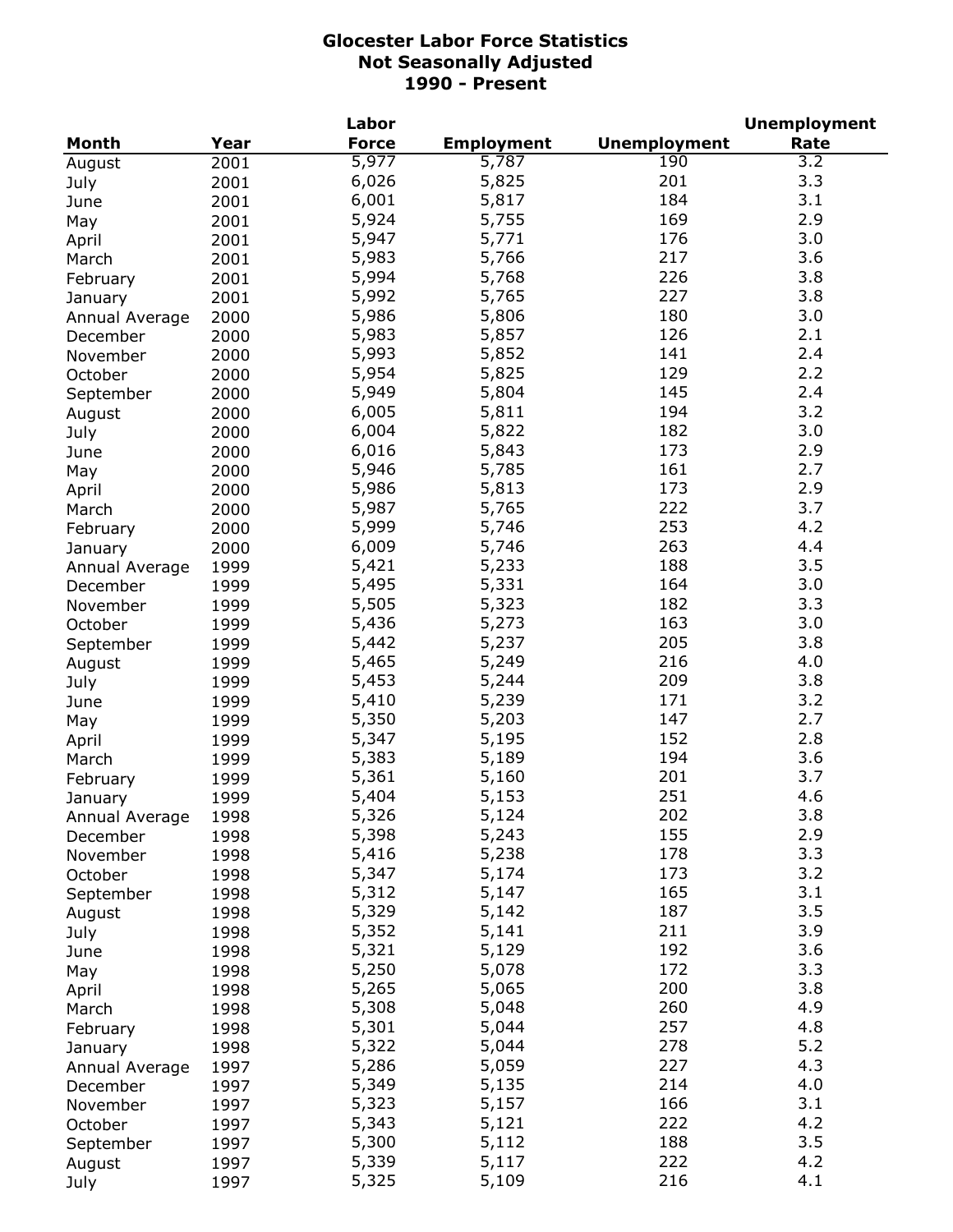|                |      | Labor        |                   |                     | <b>Unemployment</b> |
|----------------|------|--------------|-------------------|---------------------|---------------------|
| <b>Month</b>   | Year | <b>Force</b> | <b>Employment</b> | <b>Unemployment</b> | Rate                |
| August         | 2001 | 5,977        | 5,787             | 190                 | $\overline{3.2}$    |
| July           | 2001 | 6,026        | 5,825             | 201                 | 3.3                 |
| June           | 2001 | 6,001        | 5,817             | 184                 | 3.1                 |
| May            | 2001 | 5,924        | 5,755             | 169                 | 2.9                 |
| April          | 2001 | 5,947        | 5,771             | 176                 | 3.0                 |
| March          | 2001 | 5,983        | 5,766             | 217                 | 3.6                 |
| February       | 2001 | 5,994        | 5,768             | 226                 | 3.8                 |
| January        | 2001 | 5,992        | 5,765             | 227                 | 3.8                 |
| Annual Average | 2000 | 5,986        | 5,806             | 180                 | 3.0                 |
| December       | 2000 | 5,983        | 5,857             | 126                 | 2.1                 |
| November       | 2000 | 5,993        | 5,852             | 141                 | 2.4                 |
| October        | 2000 | 5,954        | 5,825             | 129                 | 2.2                 |
| September      | 2000 | 5,949        | 5,804             | 145                 | 2.4                 |
|                |      | 6,005        | 5,811             | 194                 | 3.2                 |
| August         | 2000 | 6,004        | 5,822             | 182                 | 3.0                 |
| July           | 2000 | 6,016        | 5,843             | 173                 | 2.9                 |
| June           | 2000 |              |                   |                     | 2.7                 |
| May            | 2000 | 5,946        | 5,785             | 161                 |                     |
| April          | 2000 | 5,986        | 5,813             | 173                 | 2.9                 |
| March          | 2000 | 5,987        | 5,765             | 222                 | 3.7                 |
| February       | 2000 | 5,999        | 5,746             | 253                 | 4.2                 |
| January        | 2000 | 6,009        | 5,746             | 263                 | 4.4                 |
| Annual Average | 1999 | 5,421        | 5,233             | 188                 | 3.5                 |
| December       | 1999 | 5,495        | 5,331             | 164                 | 3.0                 |
| November       | 1999 | 5,505        | 5,323             | 182                 | 3.3                 |
| October        | 1999 | 5,436        | 5,273             | 163                 | 3.0                 |
| September      | 1999 | 5,442        | 5,237             | 205                 | 3.8                 |
| August         | 1999 | 5,465        | 5,249             | 216                 | 4.0                 |
| July           | 1999 | 5,453        | 5,244             | 209                 | 3.8                 |
| June           | 1999 | 5,410        | 5,239             | 171                 | 3.2                 |
| May            | 1999 | 5,350        | 5,203             | 147                 | 2.7                 |
| April          | 1999 | 5,347        | 5,195             | 152                 | 2.8                 |
| March          | 1999 | 5,383        | 5,189             | 194                 | 3.6                 |
| February       | 1999 | 5,361        | 5,160             | 201                 | 3.7                 |
| January        | 1999 | 5,404        | 5,153             | 251                 | 4.6                 |
| Annual Average | 1998 | 5,326        | 5,124             | 202                 | 3.8                 |
| December       | 1998 | 5,398        | 5,243             | 155                 | 2.9                 |
| November       | 1998 | 5,416        | 5,238             | 178                 | 3.3                 |
| October        | 1998 | 5,347        | 5,174             | 173                 | 3.2                 |
| September      | 1998 | 5,312        | 5,147             | 165                 | 3.1                 |
| August         | 1998 | 5,329        | 5,142             | 187                 | 3.5                 |
| July           | 1998 | 5,352        | 5,141             | 211                 | 3.9                 |
| June           | 1998 | 5,321        | 5,129             | 192                 | 3.6                 |
| May            | 1998 | 5,250        | 5,078             | 172                 | 3.3                 |
|                | 1998 | 5,265        | 5,065             | 200                 | 3.8                 |
| April          |      | 5,308        | 5,048             | 260                 | 4.9                 |
| March          | 1998 | 5,301        | 5,044             | 257                 | 4.8                 |
| February       | 1998 | 5,322        | 5,044             | 278                 | 5.2                 |
| January        | 1998 |              |                   | 227                 |                     |
| Annual Average | 1997 | 5,286        | 5,059             |                     | 4.3                 |
| December       | 1997 | 5,349        | 5,135             | 214                 | 4.0                 |
| November       | 1997 | 5,323        | 5,157             | 166                 | 3.1                 |
| October        | 1997 | 5,343        | 5,121             | 222                 | 4.2                 |
| September      | 1997 | 5,300        | 5,112             | 188                 | 3.5                 |
| August         | 1997 | 5,339        | 5,117             | 222                 | 4.2                 |
| July           | 1997 | 5,325        | 5,109             | 216                 | 4.1                 |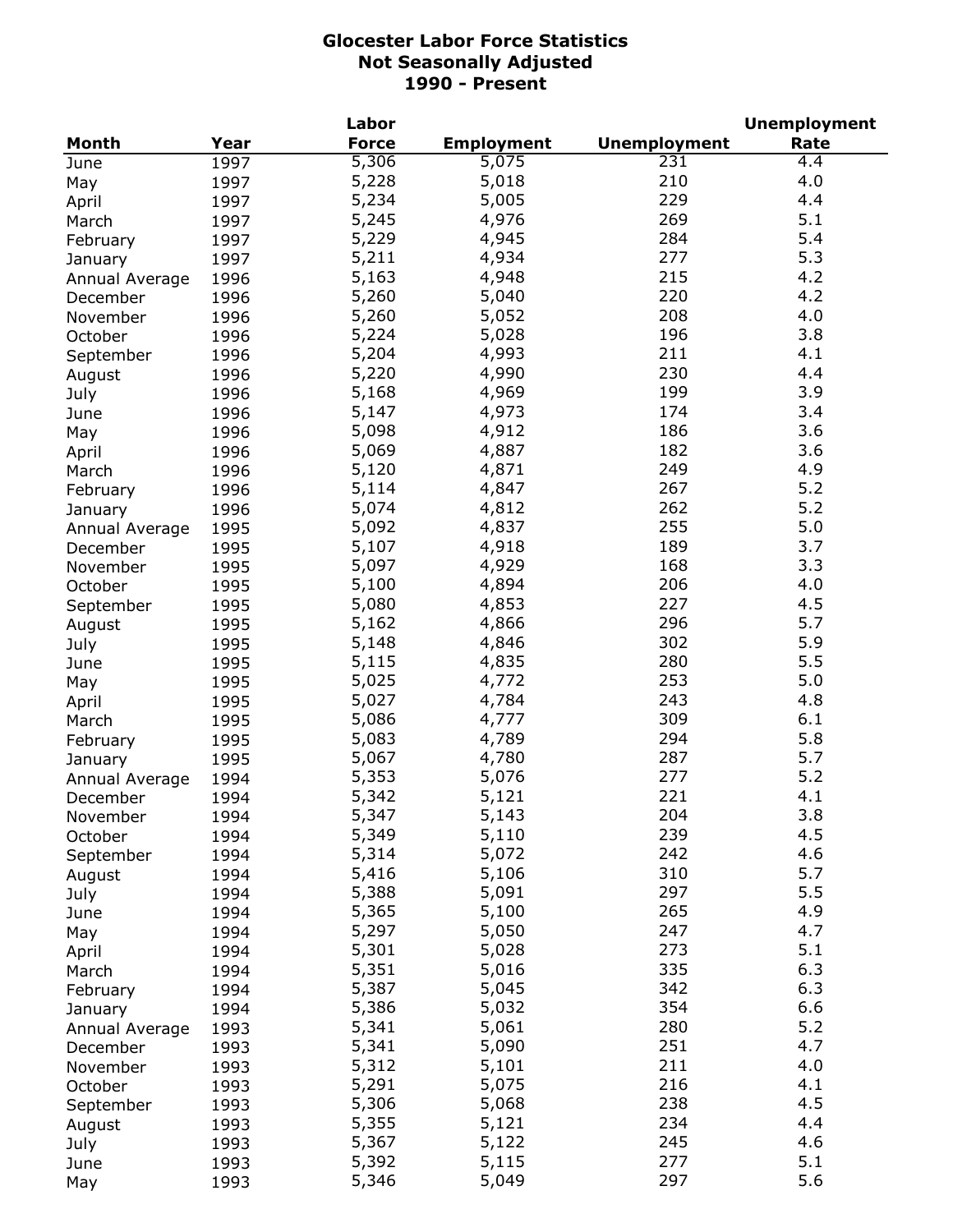|                |      | Labor        |                   |                     | <b>Unemployment</b> |
|----------------|------|--------------|-------------------|---------------------|---------------------|
| <b>Month</b>   | Year | <b>Force</b> | <b>Employment</b> | <b>Unemployment</b> | Rate                |
| June           | 1997 | 5,306        | 5,075             | 231                 | 4.4                 |
| May            | 1997 | 5,228        | 5,018             | 210                 | 4.0                 |
| April          | 1997 | 5,234        | 5,005             | 229                 | 4.4                 |
| March          | 1997 | 5,245        | 4,976             | 269                 | 5.1                 |
| February       | 1997 | 5,229        | 4,945             | 284                 | 5.4                 |
| January        | 1997 | 5,211        | 4,934             | 277                 | 5.3                 |
| Annual Average | 1996 | 5,163        | 4,948             | 215                 | 4.2                 |
| December       | 1996 | 5,260        | 5,040             | 220                 | 4.2                 |
| November       | 1996 | 5,260        | 5,052             | 208                 | 4.0                 |
| October        | 1996 | 5,224        | 5,028             | 196                 | 3.8                 |
| September      | 1996 | 5,204        | 4,993             | 211                 | 4.1                 |
| August         | 1996 | 5,220        | 4,990             | 230                 | 4.4                 |
|                | 1996 | 5,168        | 4,969             | 199                 | 3.9                 |
| July           |      | 5,147        | 4,973             | 174                 | 3.4                 |
| June           | 1996 | 5,098        | 4,912             | 186                 | 3.6                 |
| May            | 1996 |              |                   | 182                 | 3.6                 |
| April          | 1996 | 5,069        | 4,887             |                     |                     |
| March          | 1996 | 5,120        | 4,871             | 249                 | 4.9                 |
| February       | 1996 | 5,114        | 4,847             | 267                 | 5.2                 |
| January        | 1996 | 5,074        | 4,812             | 262                 | 5.2                 |
| Annual Average | 1995 | 5,092        | 4,837             | 255                 | 5.0                 |
| December       | 1995 | 5,107        | 4,918             | 189                 | 3.7                 |
| November       | 1995 | 5,097        | 4,929             | 168                 | 3.3                 |
| October        | 1995 | 5,100        | 4,894             | 206                 | 4.0                 |
| September      | 1995 | 5,080        | 4,853             | 227                 | 4.5                 |
| August         | 1995 | 5,162        | 4,866             | 296                 | 5.7                 |
| July           | 1995 | 5,148        | 4,846             | 302                 | 5.9                 |
| June           | 1995 | 5,115        | 4,835             | 280                 | 5.5                 |
| May            | 1995 | 5,025        | 4,772             | 253                 | 5.0                 |
| April          | 1995 | 5,027        | 4,784             | 243                 | 4.8                 |
| March          | 1995 | 5,086        | 4,777             | 309                 | 6.1                 |
| February       | 1995 | 5,083        | 4,789             | 294                 | 5.8                 |
| January        | 1995 | 5,067        | 4,780             | 287                 | 5.7                 |
| Annual Average | 1994 | 5,353        | 5,076             | 277                 | 5.2                 |
| December       | 1994 | 5,342        | 5,121             | 221                 | 4.1                 |
| November       | 1994 | 5,347        | 5,143             | 204                 | 3.8                 |
| October        | 1994 | 5,349        | 5,110             | 239                 | 4.5                 |
| September      | 1994 | 5,314        | 5,072             | 242                 | 4.6                 |
| August         | 1994 | 5,416        | 5,106             | 310                 | 5.7                 |
| July           | 1994 | 5,388        | 5,091             | 297                 | 5.5                 |
| June           | 1994 | 5,365        | 5,100             | 265                 | 4.9                 |
| May            | 1994 | 5,297        | 5,050             | 247                 | 4.7                 |
| April          | 1994 | 5,301        | 5,028             | 273                 | 5.1                 |
| March          | 1994 | 5,351        | 5,016             | 335                 | 6.3                 |
| February       | 1994 | 5,387        | 5,045             | 342                 | 6.3                 |
| January        | 1994 | 5,386        | 5,032             | 354                 | 6.6                 |
|                |      | 5,341        | 5,061             | 280                 | 5.2                 |
| Annual Average | 1993 | 5,341        | 5,090             | 251                 | 4.7                 |
| December       | 1993 |              |                   |                     |                     |
| November       | 1993 | 5,312        | 5,101             | 211                 | 4.0                 |
| October        | 1993 | 5,291        | 5,075             | 216                 | 4.1                 |
| September      | 1993 | 5,306        | 5,068             | 238                 | 4.5                 |
| August         | 1993 | 5,355        | 5,121             | 234                 | 4.4                 |
| July           | 1993 | 5,367        | 5,122             | 245                 | 4.6                 |
| June           | 1993 | 5,392        | 5,115             | 277                 | 5.1                 |
| May            | 1993 | 5,346        | 5,049             | 297                 | 5.6                 |